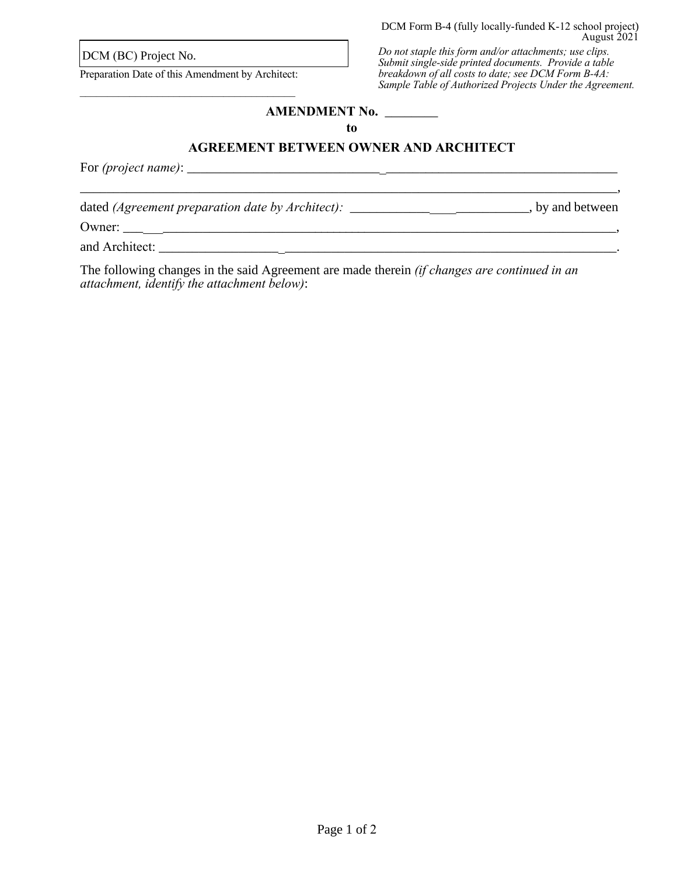DCM (BC) Project No.

Preparation Date of this Amendment by Architect: \_\_\_\_\_\_\_\_\_\_\_\_\_\_\_\_\_\_\_\_\_\_\_\_\_\_\_\_\_\_\_\_\_\_\_\_\_\_\_

*Do not staple this form and/or attachments; use clips. Submit single-side printed documents. Provide a table breakdown of all costs to date; see DCM Form B-4A: Sample Table of Authorized Projects Under the Agreement.*

## **AMENDMENT No.** \_\_\_\_\_\_\_\_

**to** 

## **AGREEMENT BETWEEN OWNER AND ARCHITECT**

\_\_\_\_\_\_\_\_\_\_\_\_\_\_\_\_\_\_\_\_\_\_\_\_\_\_\_\_\_\_\_\_\_\_\_\_\_\_\_\_\_\_\_\_\_\_\_\_\_\_\_\_\_\_\_\_\_\_\_\_\_\_\_\_\_\_\_\_\_\_\_\_\_\_\_\_\_\_\_\_\_,

For *(project name)*: \_\_\_\_\_\_\_\_\_\_\_\_\_\_\_\_\_\_\_\_\_\_\_\_\_\_\_\_\_\_\_\_\_\_\_\_\_\_\_\_\_\_\_\_\_\_\_\_\_\_\_\_\_\_\_\_\_\_\_\_\_\_\_\_\_

dated (Agreement preparation date by Architect): \_\_\_\_\_\_\_\_\_\_\_\_\_\_\_\_\_\_\_\_\_\_\_\_\_\_\_\_, by and between

Owner: \_\_\_\_\_\_\_\_\_\_\_\_\_\_\_\_\_\_\_\_\_\_\_\_\_\_\_\_\_\_\_\_\_\_\_\_\_\_\_\_\_\_\_\_\_\_\_\_\_\_\_\_\_\_\_\_\_\_\_\_\_\_\_\_\_\_\_\_\_\_\_\_\_\_\_,

and Architect: \_\_\_\_\_\_\_\_\_\_\_\_\_\_\_\_\_\_\_\_\_\_\_\_\_\_\_\_\_\_\_\_\_\_\_\_\_\_\_\_\_\_\_\_\_\_\_\_\_\_\_\_\_\_\_\_\_\_\_\_\_\_\_\_\_\_\_\_\_.

The following changes in the said Agreement are made therein *(if changes are continued in an attachment, identify the attachment below)*: